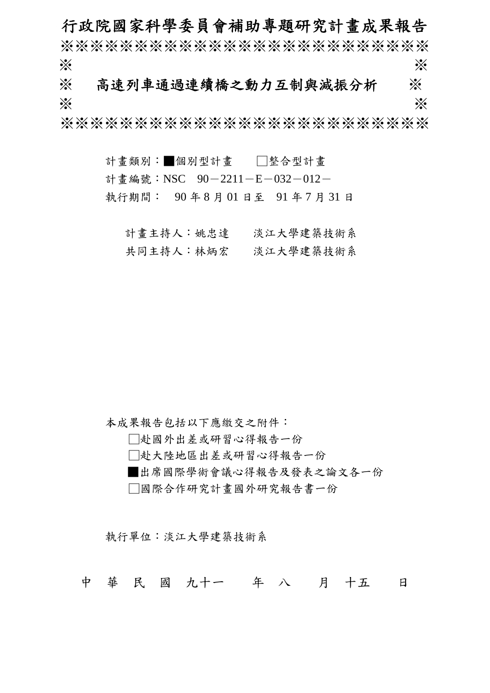# 行政院國家科學委員會補助專題研究計畫成果報告

※※※※※※※※※※※※※※※※※※※※※※※※※  $\gg$   $\gg$ 

※ 高速列車通過連續橋之動力互制與減振分析※  $\gg$   $\gg$ 

※※※※※※※※※※※※※※※※※※※※※※※※※

計畫類別:■個別型計畫 □整合型計畫 計書編號:NSC 90-2211-E-032-012-執行期間: 90 年 8 月 01 日至 91 年 7 月 31 日

計畫主持人:姚忠達 淡江大學建築技術系 共同主持人:林炳宏 淡江大學建築技術系

本成果報告包括以下應繳交之附件:

□赴國外出差或研習心得報告一份

□赴大陸地區出差或研習心得報告一份

■出席國際學術會議心得報告及發表之論文各一份

□國際合作研究計畫國外研究報告書一份

執行單位:淡江大學建築技術系

中 華 民 國 九十一 年 八 月 十五 日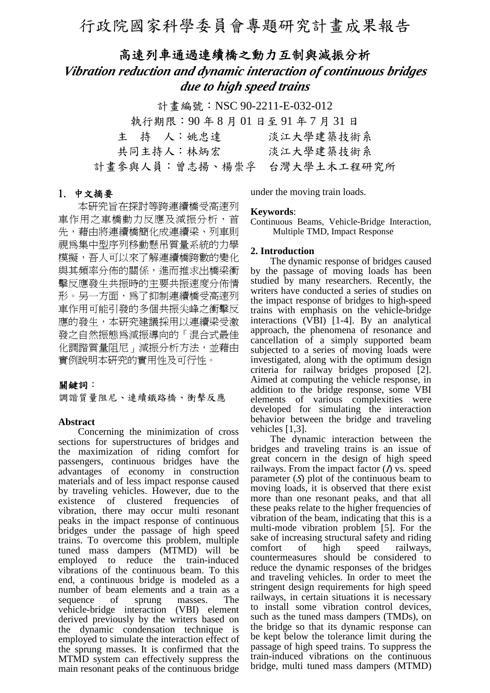# 高速列車通過連續橋之動力互制與減振分析

# *Vibration reduction and dynamic interaction of continuous bridges due to high speed trains*

計書編號: NSC 90-2211-E-032-012

| 執行期限: 90年8月01日至91年7月31日    |           |
|----------------------------|-----------|
| 主 持 人:姚忠達                  | 淡江大學建築技術系 |
| 共同主持人:林炳宏                  | 淡江大學建築技術系 |
| 计畫參與人員:曾志揚、楊崇孚 台灣大學土木工程研究所 |           |

## 1. 中文摘要

 本研究旨在探討等跨連續橋受高速列 車作用之車橋動力反應及減振分析,首 先,藉由將連續橋簡化成連續梁、列車則 視為集中型序列移動懸吊質量系統的力學 模擬,吾人可以來了解連續橋跨數的變化 與其頻率分佈的關係,進而推求出橋梁衝 擊反應發生共振時的主要共振速度分佈情 形。另一方面,為了抑制連續橋受高速列 車作用可能引發的多個共振尖峰之衝擊反 應的發生,本研究建議採用以連續梁受激 發之自然振態為減振導向的「混合式最佳 化調諧質量阻尼 , 減振分析方法, 並藉由 實例說明本研究的實用性及可行性。

# 關鍵詞:

調諧質量阻尼、連續鐵路橋、衝擊反應

## **Abstract**

Concerning the minimization of cross sections for superstructures of bridges and the maximization of riding comfort for passengers, continuous bridges have the advantages of economy in construction materials and of less impact response caused by traveling vehicles. However, due to the existence of clustered frequencies of vibration, there may occur multi resonant peaks in the impact response of continuous bridges under the passage of high speed trains. To overcome this problem, multiple tuned mass dampers (MTMD) will be employed to reduce the train-induced vibrations of the continuous beam. To this end, a continuous bridge is modeled as a number of beam elements and a train as a sequence of sprung masses. The vehicle-bridge interaction (VBI) element derived previously by the writers based on the dynamic condensation technique is employed to simulate the interaction effect of the sprung masses. It is confirmed that the MTMD system can effectively suppress the main resonant peaks of the continuous bridge

under the moving train loads.

## **Keywords**:

Continuous Beams, Vehicle-Bridge Interaction, Multiple TMD, Impact Response

# **2. Introduction**

The dynamic response of bridges caused by the passage of moving loads has been studied by many researchers. Recently, the writers have conducted a series of studies on the impact response of bridges to high-speed trains with emphasis on the vehicle-bridge interactions (VBI) [1-4]. By an analytical approach, the phenomena of resonance and cancellation of a simply supported beam subjected to a series of moving loads were investigated, along with the optimum design criteria for railway bridges proposed [2]. Aimed at computing the vehicle response, in addition to the bridge response, some VBI elements of various complexities were developed for simulating the interaction behavior between the bridge and traveling vehicles [1,3].

The dynamic interaction between the bridges and traveling trains is an issue of great concern in the design of high speed railways. From the impact factor (*I*) vs. speed parameter (*S*) plot of the continuous beam to moving loads, it is observed that there exist more than one resonant peaks, and that all these peaks relate to the higher frequencies of vibration of the beam, indicating that this is a multi-mode vibration problem [5]. For the sake of increasing structural safety and riding comfort of high speed railways, countermeasures should be considered to reduce the dynamic responses of the bridges and traveling vehicles. In order to meet the stringent design requirements for high speed railways, in certain situations it is necessary to install some vibration control devices, such as the tuned mass dampers (TMDs), on the bridge so that its dynamic response can be kept below the tolerance limit during the passage of high speed trains. To suppress the train-induced vibrations on the continuous bridge, multi tuned mass dampers (MTMD)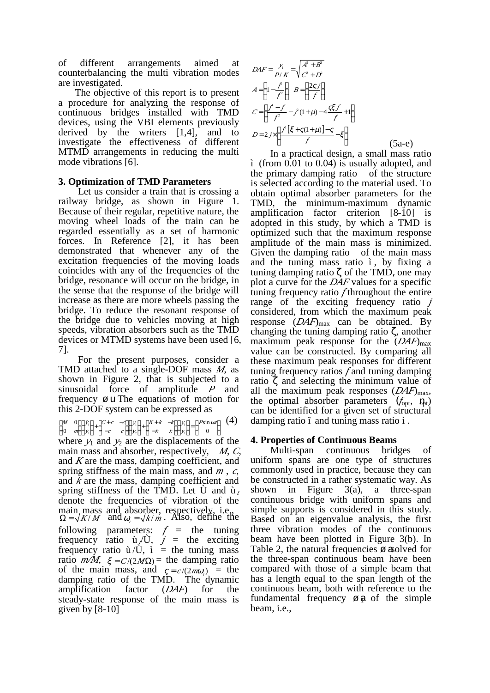of different arrangements aimed at counterbalancing the multi vibration modes are investigated.

The objective of this report is to present a procedure for analyzing the response of continuous bridges installed with TMD devices, using the VBI elements previously derived by the writers [1,4], and to investigate the effectiveness of different MTMD arrangements in reducing the multi mode vibrations [6].

# **3. Optimization of TMD Parameters**

Let us consider a train that is crossing a railway bridge, as shown in Figure 1. Because of their regular, repetitive nature, the moving wheel loads of the train can be regarded essentially as a set of harmonic forces. In Reference [2], it has been demonstrated that whenever any of the excitation frequencies of the moving loads coincides with any of the frequencies of the bridge, resonance will occur on the bridge, in the sense that the response of the bridge will increase as there are more wheels passing the bridge. To reduce the resonant response of the bridge due to vehicles moving at high speeds, vibration absorbers such as the TMD devices or MTMD systems have been used [6, 7].

For the present purposes, consider a TMD attached to a single-DOF mass *M*, as shown in Figure 2, that is subjected to a sinusoidal force of amplitude *P* and frequency  $\varnothing$  u. The equations of motion for this 2-DOF system can be expressed as

$$
\begin{bmatrix} M & 0 \\ 0 & m \end{bmatrix} \begin{bmatrix} \ddot{y}_i \\ \ddot{y}_i \end{bmatrix} + \begin{bmatrix} C+c & -c \\ -c & c \end{bmatrix} \begin{bmatrix} \dot{y}_i \\ \dot{y}_2 \end{bmatrix} + \begin{bmatrix} K+k & -k \\ -k & k \end{bmatrix} \begin{bmatrix} y_i \\ y_2 \end{bmatrix} = \begin{Bmatrix} P\sin Sr \\ 0 \end{Bmatrix} \quad (4)
$$

where  $y_1$  and  $y_2$  are the displacements of the main mass and absorber, respectively, *M*, *C*, and *K* are the mass, damping coefficient, and spring stiffness of the main mass, and *m* , *c*, and *k* are the mass, damping coefficient and spring stiffness of the TMD. Let  $\hat{U}$  and  $\hat{u}_t$ denote the frequencies of vibration of the main mass and absorber, respectively, i.e.,  $\Omega = \sqrt{K/M}$  and  $S_i = \sqrt{k/m}$ . Also, define the following parameters:  $f =$  the tuning frequency ratio  $\hat{u} / \hat{U}$ ,  $\hat{j}$  = the exciting frequency ratio  $\hat{u}/\hat{U}$ ,  $\hat{i}$  = the tuning mass ratio  $m/M$ ,  $\epsilon = C/(2M\Omega)$  = the damping ratio of the main mass, and  $g = c/(2m\tilde{S})$  = the damping ratio of the TMD. The dynamic amplification factor (*DAF*) for the steady-state response of the main mass is given by  $[8-10]$ 

$$
DAF = \frac{y_i}{P/K} = \sqrt{\frac{A^2 + B^2}{C^2 + D^2}}
$$
  
\n
$$
A = \left(1 - \frac{\frac{\dot{p}}{f^2}}{f^2}\right) B = \left(\frac{2g}{f}\right)
$$
  
\n
$$
C = \left[\frac{f^i - \dot{f}^2}{f^2} - \dot{f}^2(1 + \gamma) - 4\frac{g\gamma \dot{f}^2}{f} + 1\right]
$$
  
\n
$$
D = 2j \times \left[\frac{\dot{f}^2 \left[\gamma + g(1 + \gamma)\right] - g}{f} - \gamma\right]
$$
(5a-e)

In a practical design, a small mass ratio ì (from 0.01 to 0.04) is usually adopted, and the primary damping ratio î of the structure is selected according to the material used. To obtain optimal absorber parameters for the TMD, the minimum-maximum dynamic amplification factor criterion [8-10] is adopted in this study, by which a TMD is optimized such that the maximum response amplitude of the main mass is minimized. Given the damping ratio  $\hat{\textbf{i}}$  of the main mass and the tuning mass ratio ì, by fixing a tuning damping ratio ζ of the TMD, one may plot a curve for the *DAF* values for a specific tuning frequency ratio *f* throughout the entire range of the exciting frequency ratio *j* considered, from which the maximum peak response  $(DAF)_{\text{max}}$  can be obtained. By changing the tuning damping ratio ζ, another maximum peak response for the  $(DAF)_{\text{max}}$ value can be constructed. By comparing all these maximum peak responses for different tuning frequency ratios *f* and tuning damping ratio  $\zeta$  and selecting the minimum value of all the maximum peak responses  $(DAF)_{\text{max}}$ , the optimal absorber parameters  $(f_{opt}, a_{opt}$ ) can be identified for a given set of structural damping ratio î and tuning mass ratio ì.

# **4. Properties of Continuous Beams**

Multi-span continuous bridges of uniform spans are one type of structures commonly used in practice, because they can be constructed in a rather systematic way. As shown in Figure  $3(a)$ , a three-span continuous bridge with uniform spans and simple supports is considered in this study. Based on an eigenvalue analysis, the first three vibration modes of the continuous beam have been plotted in Figure 3(b). In Table 2, the natural frequencies  $\varnothing$  asolved for the three-span continuous beam have been compared with those of a simple beam that has a length equal to the span length of the continuous beam, both with reference to the fundamental frequency  $\varnothing$  a of the simple beam, i.e.,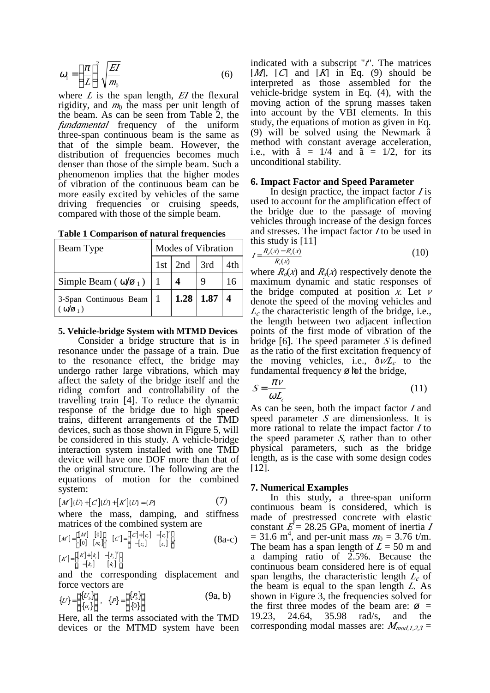$$
\tilde{S}_1 = \left(\frac{f}{L}\right)^2 \sqrt{\frac{EI}{m_0}}
$$
\n(6)

where  $L$  is the span length,  $E$ I the flexural rigidity, and  $m_0$  the mass per unit length of the beam. As can be seen from Table 2, the *fundamental* frequency of the uniform three-span continuous beam is the same as that of the simple beam. However, the distribution of frequencies becomes much denser than those of the simple beam. Such a phenomenon implies that the higher modes of vibration of the continuous beam can be more easily excited by vehicles of the same driving frequencies or cruising speeds, compared with those of the simple beam.

| Beam Type                                     | <b>Modes of Vibration</b> |               |      |     |
|-----------------------------------------------|---------------------------|---------------|------|-----|
|                                               |                           | $1st$ 2nd 3rd |      | 4th |
| Simple Beam ( $\omega/\varnothing_1$ )        |                           |               |      | 16  |
| 3-Span Continuous Beam<br>$\omega/\sigma_1$ ) |                           | 1.28          | 1.87 |     |

|  | <b>Table 1 Comparison of natural frequencies</b> |  |  |  |  |
|--|--------------------------------------------------|--|--|--|--|
|--|--------------------------------------------------|--|--|--|--|

#### **5. Vehicle-bridge System with MTMD Devices**

Consider a bridge structure that is in resonance under the passage of a train. Due to the resonance effect, the bridge may undergo rather large vibrations, which may affect the safety of the bridge itself and the riding comfort and controllability of the travelling train [4]. To reduce the dynamic response of the bridge due to high speed trains, different arrangements of the TMD devices, such as those shown in Figure 5, will be considered in this study. A vehicle-bridge interaction system installed with one TMD device will have one DOF more than that of the original structure. The following are the equations of motion for the combined system:

$$
\frac{1}{7}
$$

 $[M']\{\ddot{U}\} + [C']\{\dot{U}\} + [K']\{U\} = \{P\}$  (7) where the mass, damping, and stiffness matrices of the combined system are

$$
[M'] = \begin{bmatrix} [M] & [0] \\ [0] & [m_i] \end{bmatrix}, [C'] = \begin{bmatrix} [C] + [c_i] & -[c_i]^T \\ -[c_i] & [c_i] \end{bmatrix},
$$
\n
$$
[K'] = \begin{bmatrix} [K] + [k_i] & -[k_i]^T \\ -[k_i] & [k_i] \end{bmatrix}
$$
\n(8a-c)

and the corresponding displacement and force vectors are

$$
\{U\} = \begin{cases} \{U_{\beta}\} \\ \{u_{\beta}\} \end{cases}, \quad \{P\} = \begin{cases} \{P_{\beta}\} \\ \{0\} \end{cases}
$$
 (9a, b)

Here, all the terms associated with the TMD devices or the MTMD system have been indicated with a subscript "*t*". The matrices [*M*], [*C*] and [*K*] in Eq. (9) should be interpreted as those assembled for the vehicle-bridge system in Eq. (4), with the moving action of the sprung masses taken into account by the VBI elements. In this study, the equations of motion as given in Eq. (9) will be solved using the Newmark â method with constant average acceleration, i.e., with  $\hat{a} = 1/4$  and  $\tilde{a} = 1/2$ , for its unconditional stability.

#### **6. Impact Factor and Speed Parameter**

In design practice, the impact factor *I* is used to account for the amplification effect of the bridge due to the passage of moving vehicles through increase of the design forces and stresses. The impact factor *I* to be used in this study is [11]

$$
I = \frac{R_a(x) - R_s(x)}{R_s(x)}\tag{10}
$$

where  $R_d(x)$  and  $R_s(x)$  respectively denote the maximum dynamic and static responses of the bridge computed at position  $\dot{x}$ . Let  $\nu$ denote the speed of the moving vehicles and  $L_c$  the characteristic length of the bridge, i.e., the length between two adjacent inflection points of the first mode of vibration of the bridge [6]. The speed parameter *S* is defined as the ratio of the first excitation frequency of the moving vehicles, i.e.,  $\delta v/L_c$  to the fundamental frequency  $\varnothing$  fof the bridge,

$$
S = \frac{f\nu}{\tilde{S}L_c} \tag{11}
$$

As can be seen, both the impact factor *I* and speed parameter *S* are dimensionless. It is more rational to relate the impact factor *I* to the speed parameter *S*, rather than to other physical parameters, such as the bridge length, as is the case with some design codes [12].

### **7. Numerical Examples**

In this study, a three-span uniform continuous beam is considered, which is made of prestressed concrete with elastic constant *E* = 28.25 GPa, moment of inertia *<sup>I</sup>*  $= 31.6$  m<sup>4</sup>, and per-unit mass  $m_0 = 3.76$  t/m. The beam has a span length of *L* = 50 m and a damping ratio of 2.5%. Because the continuous beam considered here is of equal span lengths, the characteristic length *<sup>L</sup>c* of the beam is equal to the span length *L.* As shown in Figure 3, the frequencies solved for the first three modes of the beam are:  $\varnothing$  = 19.23, 24.64, 35.98 rad/s, and the corresponding modal masses are:  $M_{mod,1,2,3}$  =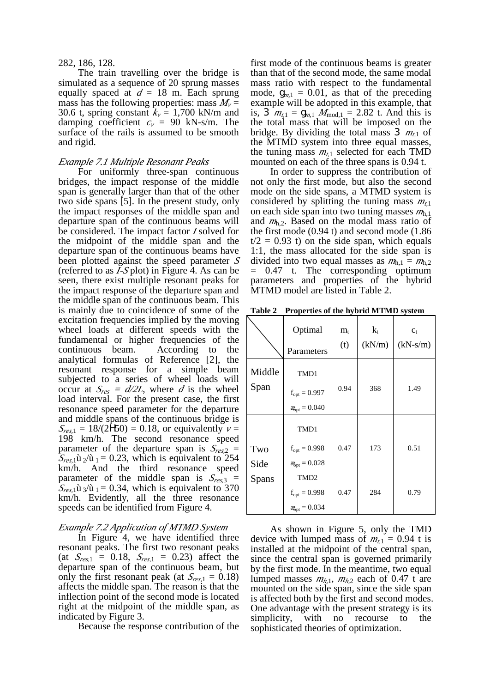#### 282, 186, 128.

The train travelling over the bridge is simulated as a sequence of 20 sprung masses equally spaced at  $d = 18$  m. Each sprung mass has the following properties: mass  $M_v =$ 30.6 t, spring constant  $k_v = 1,700$  kN/m and damping coefficient  $c_v = 90$  kN-s/m. The surface of the rails is assumed to be smooth and rigid.

#### *Example 7.1 Multiple Resonant Peaks*

For uniformly three-span continuous bridges, the impact response of the middle span is generally larger than that of the other two side spans [5]. In the present study, only the impact responses of the middle span and departure span of the continuous beams will be considered. The impact factor *I* solved for the midpoint of the middle span and the departure span of the continuous beams have been plotted against the speed parameter *<sup>S</sup>* (referred to as *I-S* plot) in Figure 4. As can be seen, there exist multiple resonant peaks for the impact response of the departure span and the middle span of the continuous beam. This is mainly due to coincidence of some of the excitation frequencies implied by the moving wheel loads at different speeds with the fundamental or higher frequencies of the continuous beam. According to the analytical formulas of Reference [2], the resonant response for a simple beam subjected to a series of wheel loads will occur at  $S_{res} = d/2L$ , where *d* is the wheel load interval. For the present case, the first resonance speed parameter for the departure and middle spans of the continuous bridge is  $S_{res,1} = 18/(2Y50) = 0.18$ , or equivalently  $\nu =$ 198 km/h. The second resonance speed parameter of the departure span is  $S_{res,2}$  =  $S_{res,1}$ ù  $\frac{1}{2}$  (ù  $\frac{1}{2}$  = 0.23, which is equivalent to 254 km/h. And the third resonance speed parameter of the middle span is *<sup>S</sup>res,*<sup>3</sup> =  $S_{res,1}$ ù <sub>3</sub>/ù <sub>1</sub> = 0.34, which is equivalent to 370 km/h. Evidently, all the three resonance speeds can be identified from Figure 4.

### *Example 7.2 Application of MTMD System*

In Figure 4, we have identified three resonant peaks. The first two resonant peaks (at  $S_{res,1} = 0.18$ ,  $S_{res,1} = 0.23$ ) affect the departure span of the continuous beam, but only the first resonant peak (at  $S_{res,1} = 0.18$ ) affects the middle span. The reason is that the inflection point of the second mode is located right at the midpoint of the middle span, as indicated by Figure 3.

Because the response contribution of the

first mode of the continuous beams is greater than that of the second mode, the same modal mass ratio with respect to the fundamental mode,  $x_{m,1} = 0.01$ , as that of the preceding example will be adopted in this example, that is, D  $m_{t,1} = x_{m,1} M_{\text{mod},1} = 2.82$  t. And this is the total mass that will be imposed on the bridge. By dividing the total mass  $\sum m_{t,1}$  of the MTMD system into three equal masses, the tuning mass  $m_{t,1}$  selected for each TMD mounted on each of the three spans is 0.94 t.

In order to suppress the contribution of not only the first mode, but also the second mode on the side spans, a MTMD system is considered by splitting the tuning mass *<sup>m</sup>t,*<sup>1</sup> on each side span into two tuning masses *<sup>m</sup>*h,1 and *<sup>m</sup>*h,2. Based on the modal mass ratio of the first mode (0.94 t) and second mode (1.86  $t/2 = 0.93$  t) on the side span, which equals 1:1, the mass allocated for the side span is divided into two equal masses as  $m_{h,1} = m_{h,2}$ = 0.47 t. The corresponding optimum parameters and properties of the hybrid MTMD model are listed in Table 2.

**Table 2 Properties of the hybrid MTMD system**

|                | Optimal<br>Parameters                                          | $m_{t}$<br>(t) | $k_{t}$<br>(kN/m) | $C_t$<br>$(kN-s/m)$ |
|----------------|----------------------------------------------------------------|----------------|-------------------|---------------------|
| Middle<br>Span | TMD1<br>$f_{opt} = 0.997$<br>$a_{opt} = 0.040$                 | 0.94           | 368               | 1.49                |
| Two<br>Side    | TMD1<br>$f_{opt} = 0.998$<br>$\mathbf{a}_{\text{opt}} = 0.028$ | 0.47           | 173               | 0.51                |
| Spans          | TMD <sub>2</sub><br>$f_{opt} = 0.998$<br>$a_{opt} = 0.034$     | 0.47           | 284               | 0.79                |

As shown in Figure 5, only the TMD device with lumped mass of  $m_{t,1} = 0.94$  t is installed at the midpoint of the central span, since the central span is governed primarily by the first mode. In the meantime, two equal lumped masses  $m_{h,1}$ ,  $m_{h,2}$  each of 0.47 t are mounted on the side span, since the side span is affected both by the first and second modes. One advantage with the present strategy is its simplicity, with no recourse to the sophisticated theories of optimization.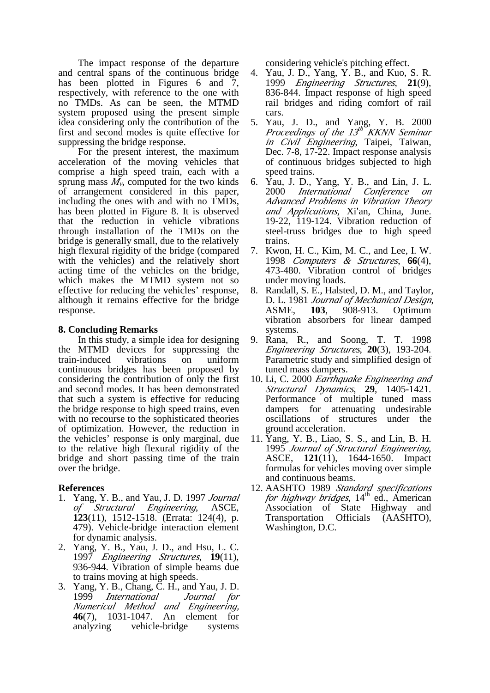The impact response of the departure and central spans of the continuous bridge has been plotted in Figures 6 and  $\overline{7}$ , respectively, with reference to the one with no TMDs. As can be seen, the MTMD system proposed using the present simple idea considering only the contribution of the first and second modes is quite effective for suppressing the bridge response.

For the present interest, the maximum acceleration of the moving vehicles that comprise a high speed train, each with a sprung mass  $M<sub>v</sub>$ , computed for the two kinds of arrangement considered in this paper, including the ones with and with no TMDs, has been plotted in Figure 8. It is observed that the reduction in vehicle vibrations through installation of the TMDs on the bridge is generally small, due to the relatively high flexural rigidity of the bridge (compared with the vehicles) and the relatively short acting time of the vehicles on the bridge, which makes the MTMD system not so effective for reducing the vehicles' response, although it remains effective for the bridge response.

# **8. Concluding Remarks**

In this study, a simple idea for designing the MTMD devices for suppressing the train-induced vibrations on uniform continuous bridges has been proposed by considering the contribution of only the first and second modes. It has been demonstrated that such a system is effective for reducing the bridge response to high speed trains, even with no recourse to the sophisticated theories of optimization. However, the reduction in the vehicles' response is only marginal, due to the relative high flexural rigidity of the bridge and short passing time of the train over the bridge.

## **References**

- 1. Yang, Y. B., and Yau, J. D. 1997 *Journal of Structural Engineering*, ASCE, **123**(11), 1512-1518. (Errata: 124(4), p. 479). Vehicle-bridge interaction element for dynamic analysis.
- 2. Yang, Y. B., Yau, J. D., and Hsu, L. C. 1997 *Engineering Structures*, **19**(11), 936-944. Vibration of simple beams due to trains moving at high speeds.
- 3. Yang, Y. B., Chang, C. H., and Yau, J. D. 1999 *International Journal for Numerical Method and Engineering,*  **46**(7), 1031-1047. An element for analyzing vehicle-bridge systems

considering vehicle's pitching effect.

- 4. Yau, J. D., Yang, Y. B., and Kuo, S. R. 1999 *Engineering Structures*, **21**(9), 836-844. Impact response of high speed rail bridges and riding comfort of rail cars.
- 5. Yau, J. D., and Yang, Y. B. 2000 *Proceedings of the 13 th KKNN Seminar in Civil Engineering*, Taipei, Taiwan, Dec. 7-8, 17-22. Impact response analysis of continuous bridges subjected to high speed trains.
- 6. Yau, J. D., Yang, Y. B., and Lin, J. L. 2000 *International Conference on Advanced Problems in Vibration Theory*  and Applications, Xi'an, China, June. 19-22, 119-124. Vibration reduction of steel-truss bridges due to high speed trains.
- 7. Kwon, H. C., Kim, M. C., and Lee, I. W. 1998 *Computers & Structures*, **66**(4), 473-480. Vibration control of bridges under moving loads.
- 8. Randall, S. E., Halsted, D. M., and Taylor, D. L. 1981 *Journal of Mechanical Design*, ASME, **103**, 908-913. Optimum vibration absorbers for linear damped systems.
- 9. Rana, R., and Soong, T. T. 1998 *Engineering Structures*, **20**(3), 193-204. Parametric study and simplified design of tuned mass dampers.
- 10. Li, C. 2000 *Earthquake Engineering and Structural Dynamics*, **29**, 1405-1421. Performance of multiple tuned mass dampers for attenuating undesirable oscillations of structures under the ground acceleration.
- 11. Yang, Y. B., Liao, S. S., and Lin, B. H. 1995 *Journal of Structural Engineering*, ASCE, **121**(11), 1644-1650. Impact formulas for vehicles moving over simple and continuous beams.
- 12. AASHTO 1989 *Standard specifications for highway bridges*, 14<sup>th</sup> ed., American Association of State Highway and Transportation Officials (AASHTO), Washington, D.C.